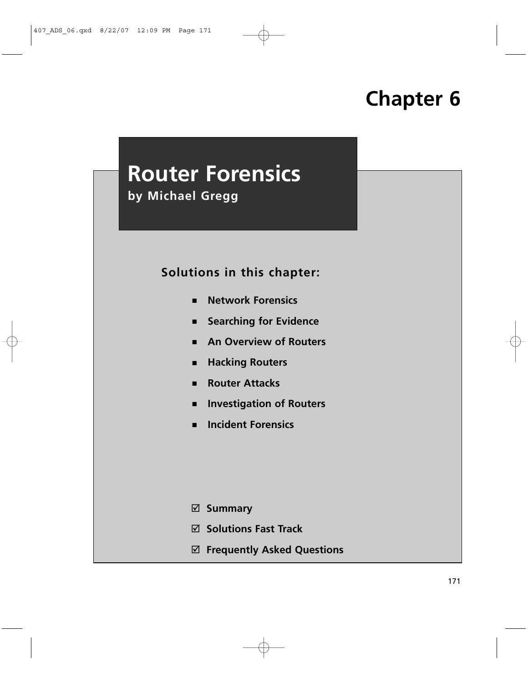# **Chapter 6**

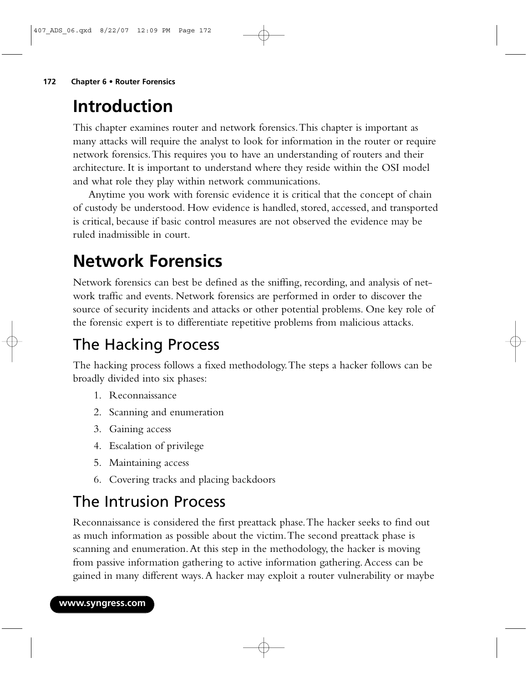# **Introduction**

This chapter examines router and network forensics.This chapter is important as many attacks will require the analyst to look for information in the router or require network forensics.This requires you to have an understanding of routers and their architecture. It is important to understand where they reside within the OSI model and what role they play within network communications.

Anytime you work with forensic evidence it is critical that the concept of chain of custody be understood. How evidence is handled, stored, accessed, and transported is critical, because if basic control measures are not observed the evidence may be ruled inadmissible in court.

# **Network Forensics**

Network forensics can best be defined as the sniffing, recording, and analysis of network traffic and events. Network forensics are performed in order to discover the source of security incidents and attacks or other potential problems. One key role of the forensic expert is to differentiate repetitive problems from malicious attacks.

## The Hacking Process

The hacking process follows a fixed methodology.The steps a hacker follows can be broadly divided into six phases:

- 1. Reconnaissance
- 2. Scanning and enumeration
- 3. Gaining access
- 4. Escalation of privilege
- 5. Maintaining access
- 6. Covering tracks and placing backdoors

## The Intrusion Process

Reconnaissance is considered the first preattack phase.The hacker seeks to find out as much information as possible about the victim.The second preattack phase is scanning and enumeration.At this step in the methodology, the hacker is moving from passive information gathering to active information gathering.Access can be gained in many different ways.A hacker may exploit a router vulnerability or maybe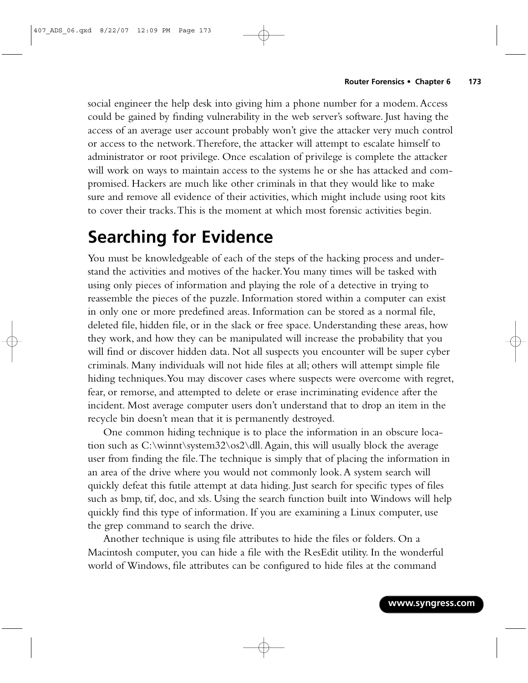social engineer the help desk into giving him a phone number for a modem. Access could be gained by finding vulnerability in the web server's software. Just having the access of an average user account probably won't give the attacker very much control or access to the network.Therefore, the attacker will attempt to escalate himself to administrator or root privilege. Once escalation of privilege is complete the attacker will work on ways to maintain access to the systems he or she has attacked and compromised. Hackers are much like other criminals in that they would like to make sure and remove all evidence of their activities, which might include using root kits to cover their tracks.This is the moment at which most forensic activities begin.

## **Searching for Evidence**

You must be knowledgeable of each of the steps of the hacking process and understand the activities and motives of the hacker.You many times will be tasked with using only pieces of information and playing the role of a detective in trying to reassemble the pieces of the puzzle. Information stored within a computer can exist in only one or more predefined areas. Information can be stored as a normal file, deleted file, hidden file, or in the slack or free space. Understanding these areas, how they work, and how they can be manipulated will increase the probability that you will find or discover hidden data. Not all suspects you encounter will be super cyber criminals. Many individuals will not hide files at all; others will attempt simple file hiding techniques.You may discover cases where suspects were overcome with regret, fear, or remorse, and attempted to delete or erase incriminating evidence after the incident. Most average computer users don't understand that to drop an item in the recycle bin doesn't mean that it is permanently destroyed.

One common hiding technique is to place the information in an obscure location such as C:\winnt\system32\os2\dll.Again, this will usually block the average user from finding the file.The technique is simply that of placing the information in an area of the drive where you would not commonly look.A system search will quickly defeat this futile attempt at data hiding. Just search for specific types of files such as bmp, tif, doc, and xls. Using the search function built into Windows will help quickly find this type of information. If you are examining a Linux computer, use the grep command to search the drive.

Another technique is using file attributes to hide the files or folders. On a Macintosh computer, you can hide a file with the ResEdit utility. In the wonderful world of Windows, file attributes can be configured to hide files at the command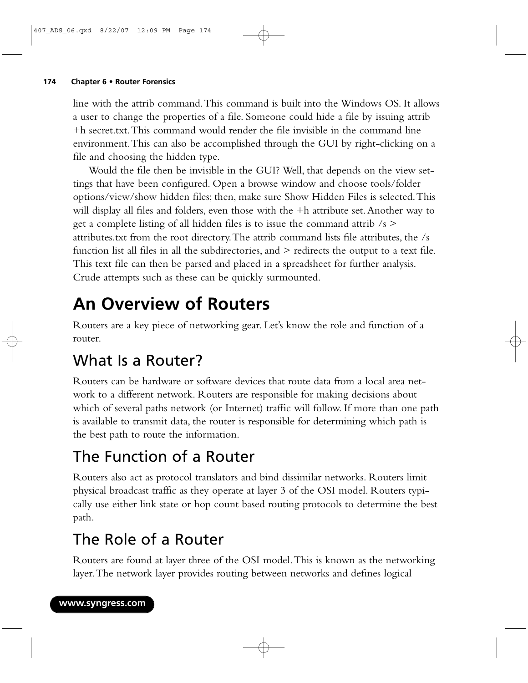line with the attrib command.This command is built into the Windows OS. It allows a user to change the properties of a file. Someone could hide a file by issuing attrib +h secret.txt.This command would render the file invisible in the command line environment.This can also be accomplished through the GUI by right-clicking on a file and choosing the hidden type.

Would the file then be invisible in the GUI? Well, that depends on the view settings that have been configured. Open a browse window and choose tools/folder options/view/show hidden files; then, make sure Show Hidden Files is selected.This will display all files and folders, even those with the +h attribute set.Another way to get a complete listing of all hidden files is to issue the command attrib  $\sqrt{s}$ attributes.txt from the root directory.The attrib command lists file attributes, the /s function list all files in all the subdirectories, and > redirects the output to a text file. This text file can then be parsed and placed in a spreadsheet for further analysis. Crude attempts such as these can be quickly surmounted.

# **An Overview of Routers**

Routers are a key piece of networking gear. Let's know the role and function of a router.

## What Is a Router?

Routers can be hardware or software devices that route data from a local area network to a different network. Routers are responsible for making decisions about which of several paths network (or Internet) traffic will follow. If more than one path is available to transmit data, the router is responsible for determining which path is the best path to route the information.

## The Function of a Router

Routers also act as protocol translators and bind dissimilar networks. Routers limit physical broadcast traffic as they operate at layer 3 of the OSI model. Routers typically use either link state or hop count based routing protocols to determine the best path.

## The Role of a Router

Routers are found at layer three of the OSI model.This is known as the networking layer.The network layer provides routing between networks and defines logical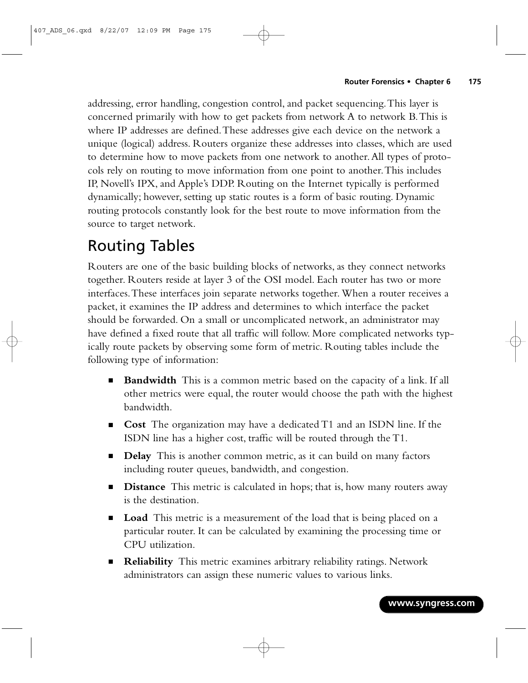addressing, error handling, congestion control, and packet sequencing.This layer is concerned primarily with how to get packets from network A to network B.This is where IP addresses are defined.These addresses give each device on the network a unique (logical) address. Routers organize these addresses into classes, which are used to determine how to move packets from one network to another.All types of protocols rely on routing to move information from one point to another.This includes IP, Novell's IPX, and Apple's DDP. Routing on the Internet typically is performed dynamically; however, setting up static routes is a form of basic routing. Dynamic routing protocols constantly look for the best route to move information from the source to target network.

### Routing Tables

Routers are one of the basic building blocks of networks, as they connect networks together. Routers reside at layer 3 of the OSI model. Each router has two or more interfaces.These interfaces join separate networks together. When a router receives a packet, it examines the IP address and determines to which interface the packet should be forwarded. On a small or uncomplicated network, an administrator may have defined a fixed route that all traffic will follow. More complicated networks typically route packets by observing some form of metric. Routing tables include the following type of information:

- **Bandwidth** This is a common metric based on the capacity of a link. If all other metrics were equal, the router would choose the path with the highest bandwidth.
- **Cost** The organization may have a dedicated T1 and an ISDN line. If the ISDN line has a higher cost, traffic will be routed through the T1.
- **Delay** This is another common metric, as it can build on many factors including router queues, bandwidth, and congestion.
- **Distance** This metric is calculated in hops; that is, how many routers away is the destination.
- **Load** This metric is a measurement of the load that is being placed on a particular router. It can be calculated by examining the processing time or CPU utilization.
- **Reliability** This metric examines arbitrary reliability ratings. Network administrators can assign these numeric values to various links.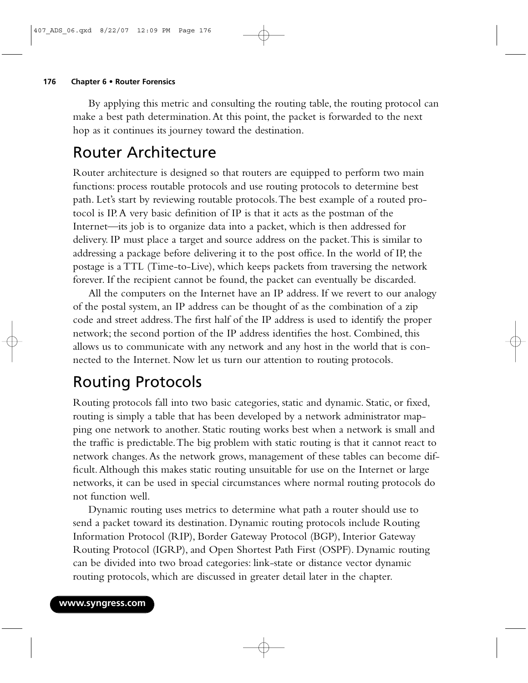By applying this metric and consulting the routing table, the routing protocol can make a best path determination.At this point, the packet is forwarded to the next hop as it continues its journey toward the destination.

### Router Architecture

Router architecture is designed so that routers are equipped to perform two main functions: process routable protocols and use routing protocols to determine best path. Let's start by reviewing routable protocols.The best example of a routed protocol is IP.A very basic definition of IP is that it acts as the postman of the Internet—its job is to organize data into a packet, which is then addressed for delivery. IP must place a target and source address on the packet.This is similar to addressing a package before delivering it to the post office. In the world of IP, the postage is a TTL (Time-to-Live), which keeps packets from traversing the network forever. If the recipient cannot be found, the packet can eventually be discarded.

All the computers on the Internet have an IP address. If we revert to our analogy of the postal system, an IP address can be thought of as the combination of a zip code and street address.The first half of the IP address is used to identify the proper network; the second portion of the IP address identifies the host. Combined, this allows us to communicate with any network and any host in the world that is connected to the Internet. Now let us turn our attention to routing protocols.

## Routing Protocols

Routing protocols fall into two basic categories, static and dynamic. Static, or fixed, routing is simply a table that has been developed by a network administrator mapping one network to another. Static routing works best when a network is small and the traffic is predictable.The big problem with static routing is that it cannot react to network changes.As the network grows, management of these tables can become difficult.Although this makes static routing unsuitable for use on the Internet or large networks, it can be used in special circumstances where normal routing protocols do not function well.

Dynamic routing uses metrics to determine what path a router should use to send a packet toward its destination. Dynamic routing protocols include Routing Information Protocol (RIP), Border Gateway Protocol (BGP), Interior Gateway Routing Protocol (IGRP), and Open Shortest Path First (OSPF). Dynamic routing can be divided into two broad categories: link-state or distance vector dynamic routing protocols, which are discussed in greater detail later in the chapter.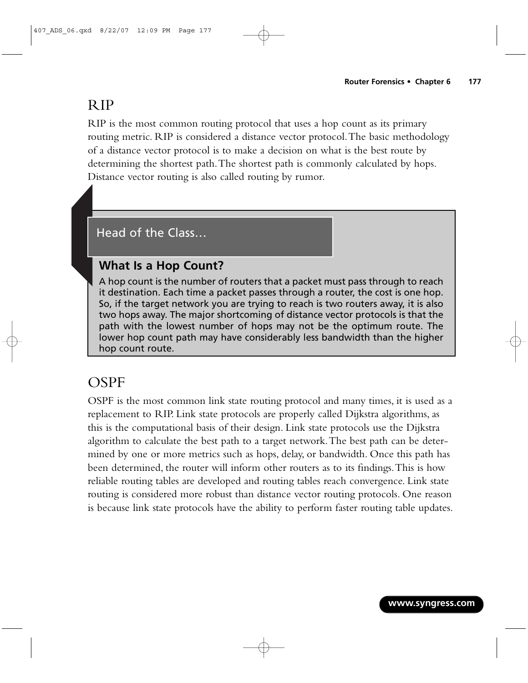### RIP

RIP is the most common routing protocol that uses a hop count as its primary routing metric. RIP is considered a distance vector protocol.The basic methodology of a distance vector protocol is to make a decision on what is the best route by determining the shortest path.The shortest path is commonly calculated by hops. Distance vector routing is also called routing by rumor.

#### Head of the Class…

#### **What Is a Hop Count?**

A hop count is the number of routers that a packet must pass through to reach it destination. Each time a packet passes through a router, the cost is one hop. So, if the target network you are trying to reach is two routers away, it is also two hops away. The major shortcoming of distance vector protocols is that the path with the lowest number of hops may not be the optimum route. The lower hop count path may have considerably less bandwidth than the higher hop count route.

### OSPF

OSPF is the most common link state routing protocol and many times, it is used as a replacement to RIP. Link state protocols are properly called Dijkstra algorithms, as this is the computational basis of their design. Link state protocols use the Dijkstra algorithm to calculate the best path to a target network.The best path can be determined by one or more metrics such as hops, delay, or bandwidth. Once this path has been determined, the router will inform other routers as to its findings.This is how reliable routing tables are developed and routing tables reach convergence. Link state routing is considered more robust than distance vector routing protocols. One reason is because link state protocols have the ability to perform faster routing table updates.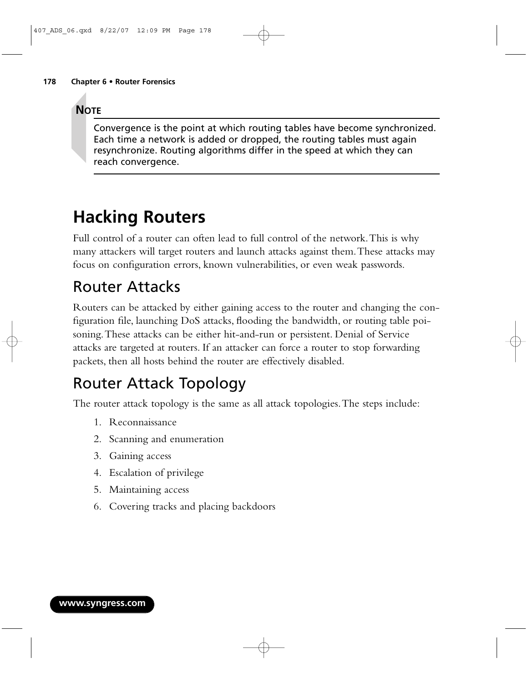#### **NOTE**

Convergence is the point at which routing tables have become synchronized. Each time a network is added or dropped, the routing tables must again resynchronize. Routing algorithms differ in the speed at which they can reach convergence.

# **Hacking Routers**

Full control of a router can often lead to full control of the network.This is why many attackers will target routers and launch attacks against them.These attacks may focus on configuration errors, known vulnerabilities, or even weak passwords.

## Router Attacks

Routers can be attacked by either gaining access to the router and changing the configuration file, launching DoS attacks, flooding the bandwidth, or routing table poisoning.These attacks can be either hit-and-run or persistent. Denial of Service attacks are targeted at routers. If an attacker can force a router to stop forwarding packets, then all hosts behind the router are effectively disabled.

## Router Attack Topology

The router attack topology is the same as all attack topologies.The steps include:

- 1. Reconnaissance
- 2. Scanning and enumeration
- 3. Gaining access
- 4. Escalation of privilege
- 5. Maintaining access
- 6. Covering tracks and placing backdoors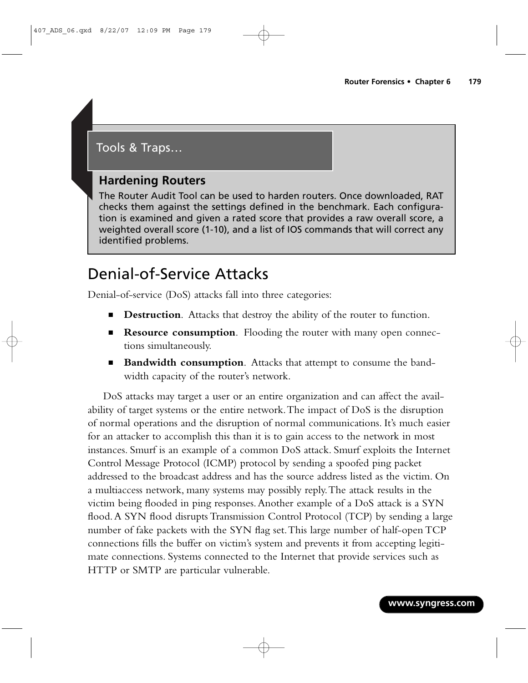#### Tools & Traps…

#### **Hardening Routers**

The Router Audit Tool can be used to harden routers. Once downloaded, RAT checks them against the settings defined in the benchmark. Each configuration is examined and given a rated score that provides a raw overall score, a weighted overall score (1-10), and a list of IOS commands that will correct any identified problems.

### Denial-of-Service Attacks

Denial-of-service (DoS) attacks fall into three categories:

- **Destruction**. Attacks that destroy the ability of the router to function.
- **Resource consumption**. Flooding the router with many open connections simultaneously.
- **Bandwidth consumption**. Attacks that attempt to consume the bandwidth capacity of the router's network.

DoS attacks may target a user or an entire organization and can affect the availability of target systems or the entire network.The impact of DoS is the disruption of normal operations and the disruption of normal communications. It's much easier for an attacker to accomplish this than it is to gain access to the network in most instances. Smurf is an example of a common DoS attack. Smurf exploits the Internet Control Message Protocol (ICMP) protocol by sending a spoofed ping packet addressed to the broadcast address and has the source address listed as the victim. On a multiaccess network, many systems may possibly reply.The attack results in the victim being flooded in ping responses.Another example of a DoS attack is a SYN flood.A SYN flood disrupts Transmission Control Protocol (TCP) by sending a large number of fake packets with the SYN flag set.This large number of half-open TCP connections fills the buffer on victim's system and prevents it from accepting legitimate connections. Systems connected to the Internet that provide services such as HTTP or SMTP are particular vulnerable.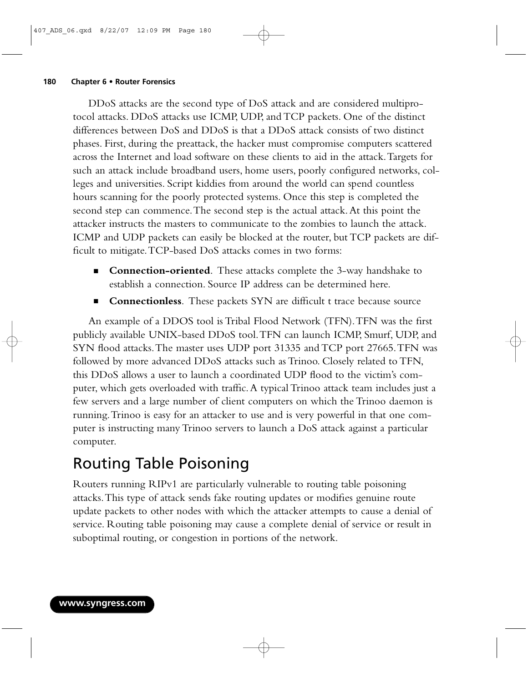DDoS attacks are the second type of DoS attack and are considered multiprotocol attacks. DDoS attacks use ICMP, UDP, and TCP packets. One of the distinct differences between DoS and DDoS is that a DDoS attack consists of two distinct phases. First, during the preattack, the hacker must compromise computers scattered across the Internet and load software on these clients to aid in the attack.Targets for such an attack include broadband users, home users, poorly configured networks, colleges and universities. Script kiddies from around the world can spend countless hours scanning for the poorly protected systems. Once this step is completed the second step can commence.The second step is the actual attack.At this point the attacker instructs the masters to communicate to the zombies to launch the attack. ICMP and UDP packets can easily be blocked at the router, but TCP packets are difficult to mitigate.TCP-based DoS attacks comes in two forms:

- **Connection-oriented**. These attacks complete the 3-way handshake to establish a connection. Source IP address can be determined here.
- **Connectionless**. These packets SYN are difficult t trace because source

An example of a DDOS tool is Tribal Flood Network (TFN).TFN was the first publicly available UNIX-based DDoS tool.TFN can launch ICMP, Smurf, UDP, and SYN flood attacks.The master uses UDP port 31335 and TCP port 27665.TFN was followed by more advanced DDoS attacks such as Trinoo. Closely related to TFN, this DDoS allows a user to launch a coordinated UDP flood to the victim's computer, which gets overloaded with traffic.A typical Trinoo attack team includes just a few servers and a large number of client computers on which the Trinoo daemon is running.Trinoo is easy for an attacker to use and is very powerful in that one computer is instructing many Trinoo servers to launch a DoS attack against a particular computer.

### Routing Table Poisoning

Routers running RIPv1 are particularly vulnerable to routing table poisoning attacks.This type of attack sends fake routing updates or modifies genuine route update packets to other nodes with which the attacker attempts to cause a denial of service. Routing table poisoning may cause a complete denial of service or result in suboptimal routing, or congestion in portions of the network.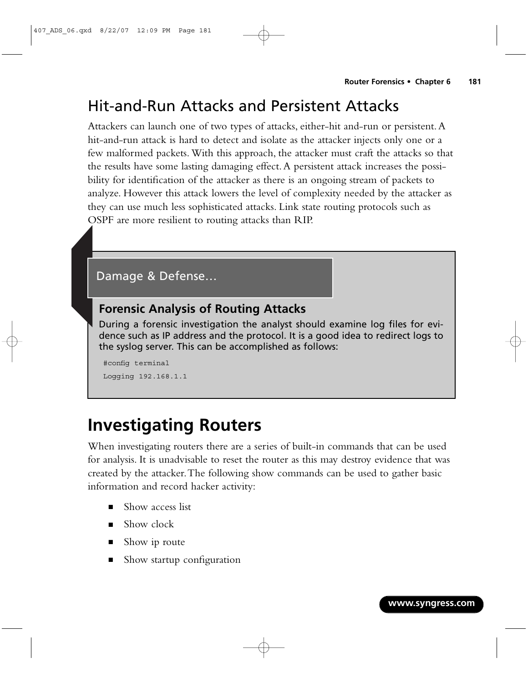## Hit-and-Run Attacks and Persistent Attacks

Attackers can launch one of two types of attacks, either-hit and-run or persistent.A hit-and-run attack is hard to detect and isolate as the attacker injects only one or a few malformed packets. With this approach, the attacker must craft the attacks so that the results have some lasting damaging effect.A persistent attack increases the possibility for identification of the attacker as there is an ongoing stream of packets to analyze. However this attack lowers the level of complexity needed by the attacker as they can use much less sophisticated attacks. Link state routing protocols such as OSPF are more resilient to routing attacks than RIP.

#### Damage & Defense…

#### **Forensic Analysis of Routing Attacks**

During a forensic investigation the analyst should examine log files for evidence such as IP address and the protocol. It is a good idea to redirect logs to the syslog server. This can be accomplished as follows:

#config terminal Logging 192.168.1.1

## **Investigating Routers**

When investigating routers there are a series of built-in commands that can be used for analysis. It is unadvisable to reset the router as this may destroy evidence that was created by the attacker.The following show commands can be used to gather basic information and record hacker activity:

- Show access list
- Show clock
- Show ip route
- Show startup configuration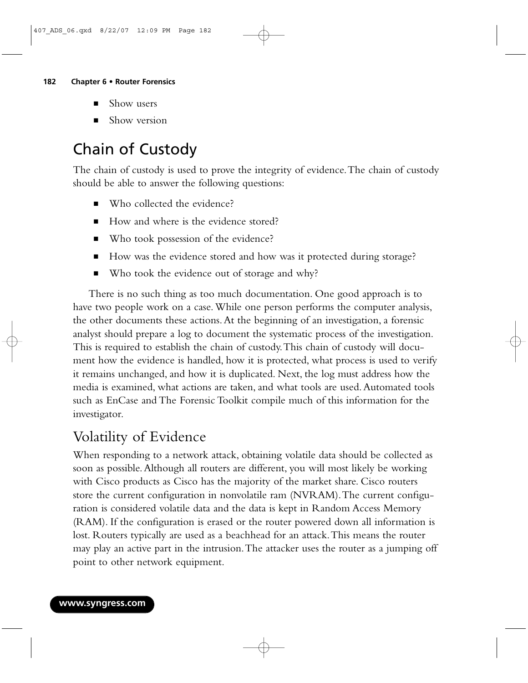- Show users
- Show version

## Chain of Custody

The chain of custody is used to prove the integrity of evidence.The chain of custody should be able to answer the following questions:

- Who collected the evidence?
- How and where is the evidence stored?
- Who took possession of the evidence?
- How was the evidence stored and how was it protected during storage?
- Who took the evidence out of storage and why?

There is no such thing as too much documentation. One good approach is to have two people work on a case. While one person performs the computer analysis, the other documents these actions.At the beginning of an investigation, a forensic analyst should prepare a log to document the systematic process of the investigation. This is required to establish the chain of custody.This chain of custody will document how the evidence is handled, how it is protected, what process is used to verify it remains unchanged, and how it is duplicated. Next, the log must address how the media is examined, what actions are taken, and what tools are used.Automated tools such as EnCase and The Forensic Toolkit compile much of this information for the investigator.

### Volatility of Evidence

When responding to a network attack, obtaining volatile data should be collected as soon as possible.Although all routers are different, you will most likely be working with Cisco products as Cisco has the majority of the market share. Cisco routers store the current configuration in nonvolatile ram (NVRAM).The current configuration is considered volatile data and the data is kept in Random Access Memory (RAM). If the configuration is erased or the router powered down all information is lost. Routers typically are used as a beachhead for an attack.This means the router may play an active part in the intrusion.The attacker uses the router as a jumping off point to other network equipment.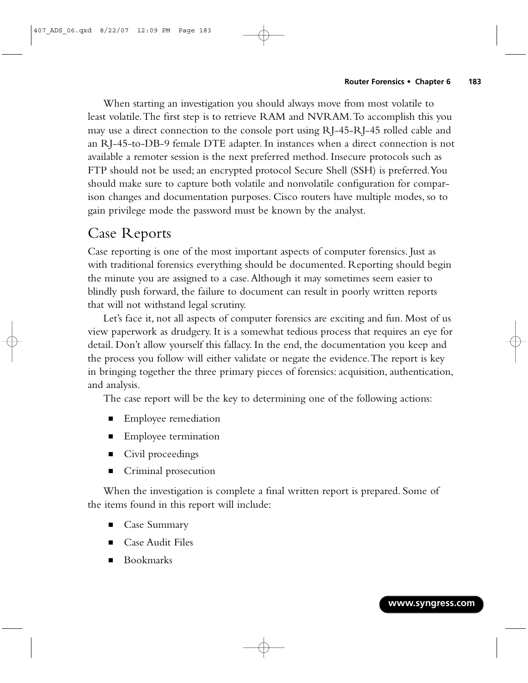When starting an investigation you should always move from most volatile to least volatile.The first step is to retrieve RAM and NVRAM.To accomplish this you may use a direct connection to the console port using RJ-45-RJ-45 rolled cable and an RJ-45-to-DB-9 female DTE adapter. In instances when a direct connection is not available a remoter session is the next preferred method. Insecure protocols such as FTP should not be used; an encrypted protocol Secure Shell (SSH) is preferred.You should make sure to capture both volatile and nonvolatile configuration for comparison changes and documentation purposes. Cisco routers have multiple modes, so to gain privilege mode the password must be known by the analyst.

### Case Reports

Case reporting is one of the most important aspects of computer forensics. Just as with traditional forensics everything should be documented. Reporting should begin the minute you are assigned to a case.Although it may sometimes seem easier to blindly push forward, the failure to document can result in poorly written reports that will not withstand legal scrutiny.

Let's face it, not all aspects of computer forensics are exciting and fun. Most of us view paperwork as drudgery. It is a somewhat tedious process that requires an eye for detail. Don't allow yourself this fallacy. In the end, the documentation you keep and the process you follow will either validate or negate the evidence.The report is key in bringing together the three primary pieces of forensics: acquisition, authentication, and analysis.

The case report will be the key to determining one of the following actions:

- Employee remediation
- Employee termination
- Civil proceedings
- Criminal prosecution

When the investigation is complete a final written report is prepared. Some of the items found in this report will include:

- Case Summary
- Case Audit Files
- Bookmarks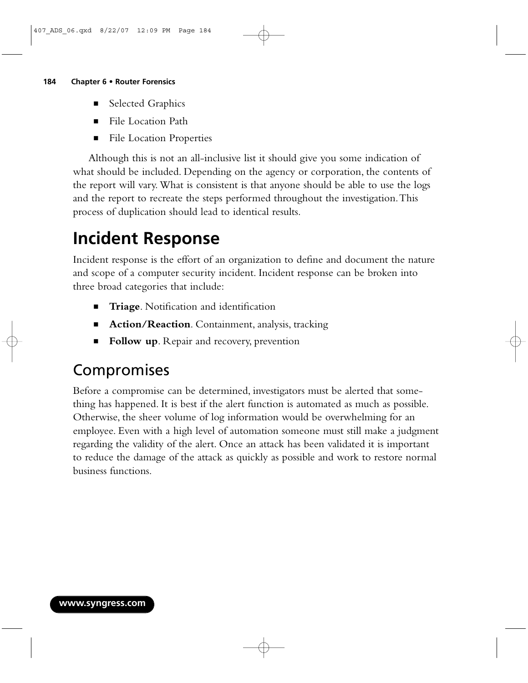- Selected Graphics
- File Location Path
- File Location Properties

Although this is not an all-inclusive list it should give you some indication of what should be included. Depending on the agency or corporation, the contents of the report will vary. What is consistent is that anyone should be able to use the logs and the report to recreate the steps performed throughout the investigation.This process of duplication should lead to identical results.

## **Incident Response**

Incident response is the effort of an organization to define and document the nature and scope of a computer security incident. Incident response can be broken into three broad categories that include:

- **Triage**. Notification and identification
- **Action/Reaction.** Containment, analysis, tracking
- Follow up. Repair and recovery, prevention

### Compromises

Before a compromise can be determined, investigators must be alerted that something has happened. It is best if the alert function is automated as much as possible. Otherwise, the sheer volume of log information would be overwhelming for an employee. Even with a high level of automation someone must still make a judgment regarding the validity of the alert. Once an attack has been validated it is important to reduce the damage of the attack as quickly as possible and work to restore normal business functions.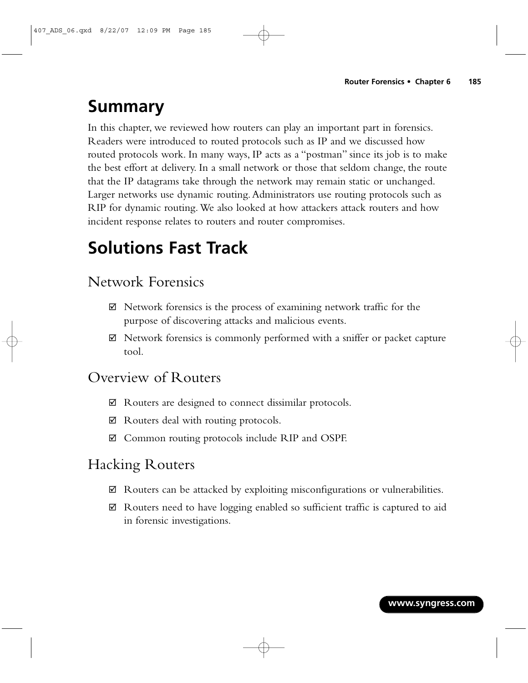# **Summary**

In this chapter, we reviewed how routers can play an important part in forensics. Readers were introduced to routed protocols such as IP and we discussed how routed protocols work. In many ways, IP acts as a "postman" since its job is to make the best effort at delivery. In a small network or those that seldom change, the route that the IP datagrams take through the network may remain static or unchanged. Larger networks use dynamic routing.Administrators use routing protocols such as RIP for dynamic routing. We also looked at how attackers attack routers and how incident response relates to routers and router compromises.

# **Solutions Fast Track**

### Network Forensics

- $\boxtimes$  Network forensics is the process of examining network traffic for the purpose of discovering attacks and malicious events.
- $\boxtimes$  Network forensics is commonly performed with a sniffer or packet capture tool.

### Overview of Routers

- $\Phi$  Routers are designed to connect dissimilar protocols.
- $\boxtimes$  Routers deal with routing protocols.
- Common routing protocols include RIP and OSPF.

### Hacking Routers

- $\boxtimes$  Routers can be attacked by exploiting misconfigurations or vulnerabilities.
- Routers need to have logging enabled so sufficient traffic is captured to aid in forensic investigations.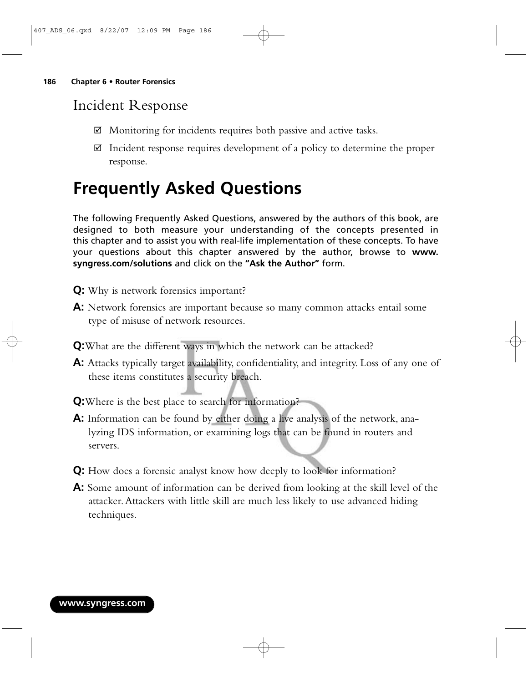### Incident Response

- Monitoring for incidents requires both passive and active tasks.
- $\boxtimes$  Incident response requires development of a policy to determine the proper response.

## **Frequently Asked Questions**

The following Frequently Asked Questions, answered by the authors of this book, are designed to both measure your understanding of the concepts presented in this chapter and to assist you with real-life implementation of these concepts. To have your questions about this chapter answered by the author, browse to **www. syngress.com/solutions** and click on the **"Ask the Author"** form.

- **Q:** Why is network forensics important?
- **A:** Network forensics are important because so many common attacks entail some type of misuse of network resources.
- **Q:**What are the different ways in which the network can be attacked?
- **A:** Attacks typically target availability, confidentiality, and integrity. Loss of any one of these items constitutes a security breach.

**Q:**Where is the best place to search for information?

- **A:** Information can be found by either doing a live analysis of the network, analyzing IDS information, or examining logs that can be found in routers and servers.
- **Q:** How does a forensic analyst know how deeply to look for information?
- **A:** Some amount of information can be derived from looking at the skill level of the attacker.Attackers with little skill are much less likely to use advanced hiding techniques.